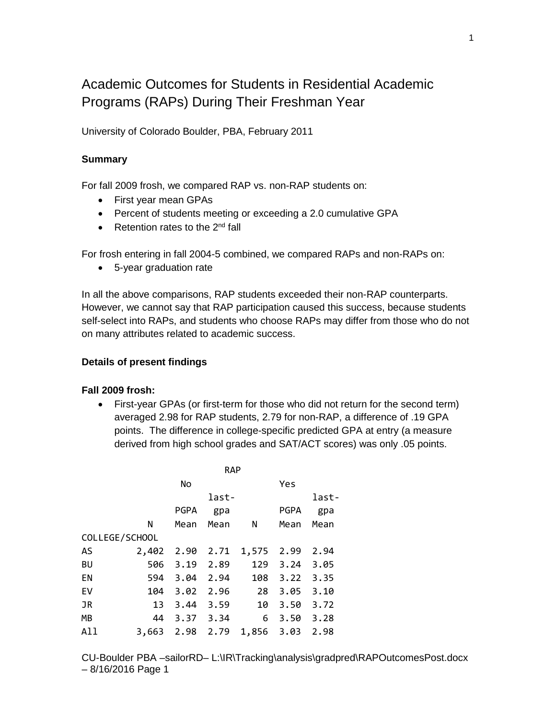# Academic Outcomes for Students in Residential Academic Programs (RAPs) During Their Freshman Year

University of Colorado Boulder, PBA, February 2011

### **Summary**

For fall 2009 frosh, we compared RAP vs. non-RAP students on:

- First year mean GPAs
- Percent of students meeting or exceeding a 2.0 cumulative GPA
- Retention rates to the  $2<sup>nd</sup>$  fall

For frosh entering in fall 2004-5 combined, we compared RAPs and non-RAPs on:

• 5-year graduation rate

In all the above comparisons, RAP students exceeded their non-RAP counterparts. However, we cannot say that RAP participation caused this success, because students self-select into RAPs, and students who choose RAPs may differ from those who do not on many attributes related to academic success.

#### **Details of present findings**

### **Fall 2009 frosh:**

• First-year GPAs (or first-term for those who did not return for the second term) averaged 2.98 for RAP students, 2.79 for non-RAP, a difference of .19 GPA points. The difference in college-specific predicted GPA at entry (a measure derived from high school grades and SAT/ACT scores) was only .05 points.

|                |       | <b>RAP</b>  |           |       |             |       |  |
|----------------|-------|-------------|-----------|-------|-------------|-------|--|
|                |       | No          |           |       | Yes         |       |  |
|                |       |             | last-     |       |             | last- |  |
|                |       | <b>PGPA</b> | gpa       |       | <b>PGPA</b> | gpa   |  |
|                | N     | Mean        | Mean      | N     | Mean        | Mean  |  |
| COLLEGE/SCHOOL |       |             |           |       |             |       |  |
| AS             | 2,402 |             | 2.90 2.71 | 1,575 | 2.99        | 2.94  |  |
| <b>BU</b>      | 506   | 3.19        | 2.89      | 129   | 3.24        | 3.05  |  |
| EN             | 594   | 3.04        | 2.94      | 108   | 3.22        | 3.35  |  |
| EV             | 104   | 3.02        | 2.96      | 28    | 3.05        | 3.10  |  |
| JR             | 13    | 3.44        | 3.59      | 10    | 3.50        | 3.72  |  |
| MВ             | 44    | 3.37        | 3.34      | 6     | 3.50        | 3.28  |  |
| All            | 3,663 | 2.98 2.79   |           | 1,856 | 3.03        | 2.98  |  |

CU-Boulder PBA –sailorRD– L:\IR\Tracking\analysis\gradpred\RAPOutcomesPost.docx – 8/16/2016 Page 1